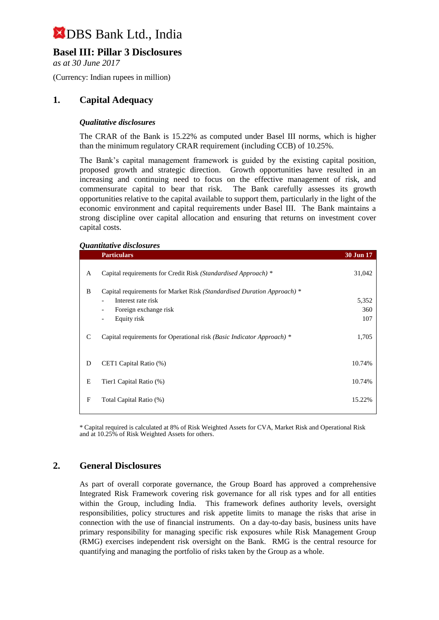## **Basel III: Pillar 3 Disclosures**

*as at 30 June 2017*

(Currency: Indian rupees in million)

## **1. Capital Adequacy**

#### *Qualitative disclosures*

The CRAR of the Bank is 15.22% as computed under Basel III norms, which is higher than the minimum regulatory CRAR requirement (including CCB) of 10.25%.

The Bank's capital management framework is guided by the existing capital position, proposed growth and strategic direction. Growth opportunities have resulted in an increasing and continuing need to focus on the effective management of risk, and commensurate capital to bear that risk. The Bank carefully assesses its growth opportunities relative to the capital available to support them, particularly in the light of the economic environment and capital requirements under Basel III. The Bank maintains a strong discipline over capital allocation and ensuring that returns on investment cover capital costs.

#### *Quantitative disclosures*

|   | <b>Particulars</b>                                                      | <b>30 Jun 17</b> |
|---|-------------------------------------------------------------------------|------------------|
| A | Capital requirements for Credit Risk (Standardised Approach) *          | 31,042           |
| B | Capital requirements for Market Risk (Standardised Duration Approach) * |                  |
|   | Interest rate risk                                                      | 5,352            |
|   | Foreign exchange risk<br>$\overline{\phantom{a}}$                       | 360              |
|   | Equity risk<br>$\qquad \qquad \blacksquare$                             | 107              |
| C | Capital requirements for Operational risk (Basic Indicator Approach) *  | 1,705            |
| D | CET1 Capital Ratio (%)                                                  | 10.74%           |
| Е | Tier1 Capital Ratio (%)                                                 | 10.74%           |
| F | Total Capital Ratio (%)                                                 | 15.22%           |

\* Capital required is calculated at 8% of Risk Weighted Assets for CVA, Market Risk and Operational Risk and at 10.25% of Risk Weighted Assets for others.

## **2. General Disclosures**

As part of overall corporate governance, the Group Board has approved a comprehensive Integrated Risk Framework covering risk governance for all risk types and for all entities within the Group, including India. This framework defines authority levels, oversight responsibilities, policy structures and risk appetite limits to manage the risks that arise in connection with the use of financial instruments. On a day-to-day basis, business units have primary responsibility for managing specific risk exposures while Risk Management Group (RMG) exercises independent risk oversight on the Bank. RMG is the central resource for quantifying and managing the portfolio of risks taken by the Group as a whole.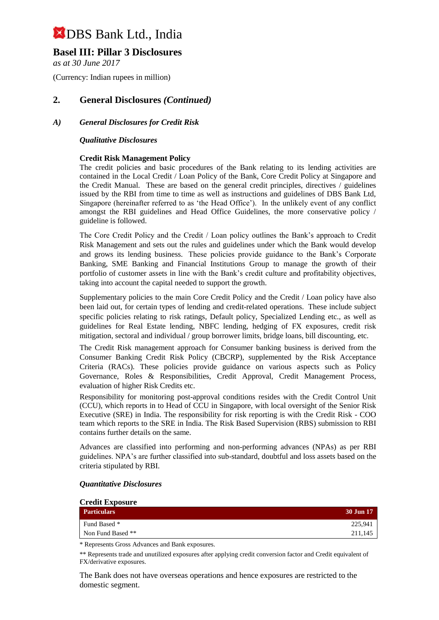## **Basel III: Pillar 3 Disclosures**

*as at 30 June 2017*

(Currency: Indian rupees in million)

## **2. General Disclosures** *(Continued)*

### *A) General Disclosures for Credit Risk*

#### *Qualitative Disclosures*

#### **Credit Risk Management Policy**

The credit policies and basic procedures of the Bank relating to its lending activities are contained in the Local Credit / Loan Policy of the Bank, Core Credit Policy at Singapore and the Credit Manual. These are based on the general credit principles, directives / guidelines issued by the RBI from time to time as well as instructions and guidelines of DBS Bank Ltd, Singapore (hereinafter referred to as 'the Head Office'). In the unlikely event of any conflict amongst the RBI guidelines and Head Office Guidelines, the more conservative policy / guideline is followed.

The Core Credit Policy and the Credit / Loan policy outlines the Bank's approach to Credit Risk Management and sets out the rules and guidelines under which the Bank would develop and grows its lending business. These policies provide guidance to the Bank's Corporate Banking, SME Banking and Financial Institutions Group to manage the growth of their portfolio of customer assets in line with the Bank's credit culture and profitability objectives, taking into account the capital needed to support the growth.

Supplementary policies to the main Core Credit Policy and the Credit / Loan policy have also been laid out, for certain types of lending and credit-related operations. These include subject specific policies relating to risk ratings, Default policy, Specialized Lending etc., as well as guidelines for Real Estate lending, NBFC lending, hedging of FX exposures, credit risk mitigation, sectoral and individual / group borrower limits, bridge loans, bill discounting, etc.

The Credit Risk management approach for Consumer banking business is derived from the Consumer Banking Credit Risk Policy (CBCRP), supplemented by the Risk Acceptance Criteria (RACs). These policies provide guidance on various aspects such as Policy Governance, Roles & Responsibilities, Credit Approval, Credit Management Process, evaluation of higher Risk Credits etc.

Responsibility for monitoring post-approval conditions resides with the Credit Control Unit (CCU), which reports in to Head of CCU in Singapore, with local oversight of the Senior Risk Executive (SRE) in India. The responsibility for risk reporting is with the Credit Risk - COO team which reports to the SRE in India. The Risk Based Supervision (RBS) submission to RBI contains further details on the same.

Advances are classified into performing and non-performing advances (NPAs) as per RBI guidelines. NPA's are further classified into sub-standard, doubtful and loss assets based on the criteria stipulated by RBI.

| <b>Credit Exposure</b> |                  |
|------------------------|------------------|
| <b>Particulars</b>     | <b>30 Jun 17</b> |
| Fund Based *           | 225,941          |
| Non Fund Based **      | 211,145          |

#### *Quantitative Disclosures*

\* Represents Gross Advances and Bank exposures.

\*\* Represents trade and unutilized exposures after applying credit conversion factor and Credit equivalent of FX/derivative exposures.

The Bank does not have overseas operations and hence exposures are restricted to the domestic segment.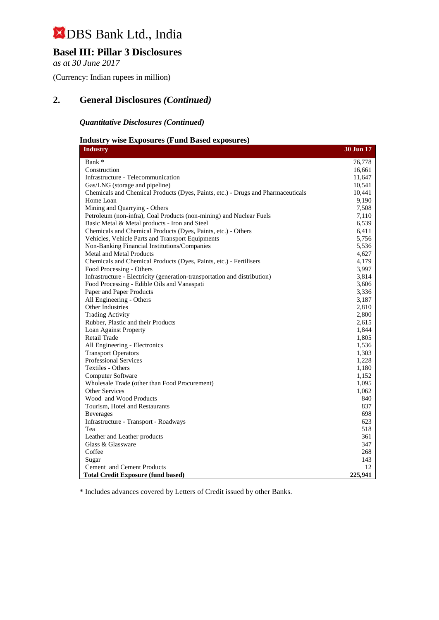## **Basel III: Pillar 3 Disclosures**

*as at 30 June 2017*

(Currency: Indian rupees in million)

## **2. General Disclosures** *(Continued)*

### *Quantitative Disclosures (Continued)*

### **Industry wise Exposures (Fund Based exposures)**

| <b>Industry</b>                                                                  | 30 Jun 17 |
|----------------------------------------------------------------------------------|-----------|
| Bank *                                                                           | 76,778    |
| Construction                                                                     | 16,661    |
| Infrastructure - Telecommunication                                               | 11,647    |
| Gas/LNG (storage and pipeline)                                                   | 10,541    |
| Chemicals and Chemical Products (Dyes, Paints, etc.) - Drugs and Pharmaceuticals | 10,441    |
| Home Loan                                                                        | 9,190     |
| Mining and Quarrying - Others                                                    | 7,508     |
| Petroleum (non-infra), Coal Products (non-mining) and Nuclear Fuels              | 7,110     |
| Basic Metal & Metal products - Iron and Steel                                    | 6,539     |
| Chemicals and Chemical Products (Dyes, Paints, etc.) - Others                    | 6,411     |
| Vehicles, Vehicle Parts and Transport Equipments                                 | 5,756     |
| Non-Banking Financial Institutions/Companies                                     | 5,536     |
| <b>Metal and Metal Products</b>                                                  | 4,627     |
| Chemicals and Chemical Products (Dyes, Paints, etc.) - Fertilisers               | 4,179     |
| Food Processing - Others                                                         | 3,997     |
| Infrastructure - Electricity (generation-transportation and distribution)        | 3,814     |
| Food Processing - Edible Oils and Vanaspati                                      | 3,606     |
| Paper and Paper Products                                                         | 3,336     |
| All Engineering - Others                                                         | 3,187     |
| Other Industries                                                                 | 2,810     |
| <b>Trading Activity</b>                                                          | 2,800     |
| Rubber, Plastic and their Products                                               | 2,615     |
| Loan Against Property                                                            | 1,844     |
| <b>Retail Trade</b>                                                              | 1,805     |
| All Engineering - Electronics                                                    | 1,536     |
| <b>Transport Operators</b>                                                       | 1,303     |
| <b>Professional Services</b>                                                     | 1,228     |
| Textiles - Others                                                                | 1,180     |
| Computer Software                                                                | 1,152     |
| Wholesale Trade (other than Food Procurement)                                    | 1,095     |
| <b>Other Services</b>                                                            | 1,062     |
| Wood and Wood Products                                                           | 840       |
| Tourism, Hotel and Restaurants                                                   | 837       |
| <b>Beverages</b>                                                                 | 698       |
| Infrastructure - Transport - Roadways                                            | 623       |
| Tea                                                                              | 518       |
| Leather and Leather products                                                     | 361       |
| Glass & Glassware                                                                | 347       |
| Coffee                                                                           | 268       |
| Sugar                                                                            | 143       |
| Cement and Cement Products                                                       | 12        |
| <b>Total Credit Exposure (fund based)</b>                                        | 225,941   |

\* Includes advances covered by Letters of Credit issued by other Banks.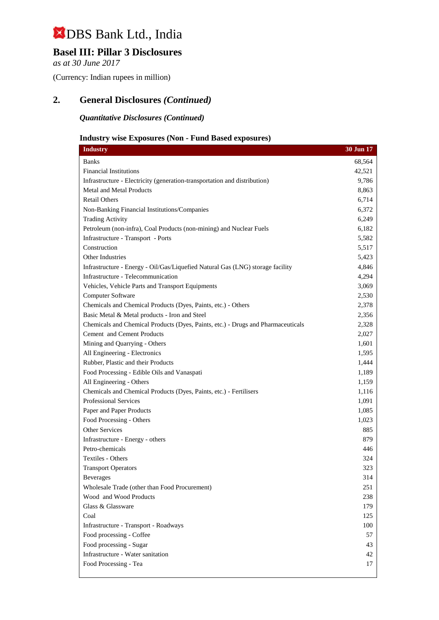## **Basel III: Pillar 3 Disclosures**

*as at 30 June 2017*

(Currency: Indian rupees in million)

## **2. General Disclosures** *(Continued)*

*Quantitative Disclosures (Continued)*

## **Industry wise Exposures (Non - Fund Based exposures)**

| <b>Industry</b>                                                                  | 30 Jun 17 |
|----------------------------------------------------------------------------------|-----------|
| <b>Banks</b>                                                                     | 68,564    |
| <b>Financial Institutions</b>                                                    | 42,521    |
| Infrastructure - Electricity (generation-transportation and distribution)        | 9,786     |
| <b>Metal and Metal Products</b>                                                  | 8,863     |
| <b>Retail Others</b>                                                             | 6,714     |
| Non-Banking Financial Institutions/Companies                                     | 6,372     |
| <b>Trading Activity</b>                                                          | 6,249     |
| Petroleum (non-infra), Coal Products (non-mining) and Nuclear Fuels              | 6,182     |
| Infrastructure - Transport - Ports                                               | 5,582     |
| Construction                                                                     | 5,517     |
| <b>Other Industries</b>                                                          | 5,423     |
| Infrastructure - Energy - Oil/Gas/Liquefied Natural Gas (LNG) storage facility   | 4,846     |
| Infrastructure - Telecommunication                                               | 4,294     |
| Vehicles, Vehicle Parts and Transport Equipments                                 | 3,069     |
| Computer Software                                                                | 2,530     |
| Chemicals and Chemical Products (Dyes, Paints, etc.) - Others                    | 2,378     |
| Basic Metal & Metal products - Iron and Steel                                    | 2,356     |
| Chemicals and Chemical Products (Dyes, Paints, etc.) - Drugs and Pharmaceuticals | 2,328     |
| Cement and Cement Products                                                       | 2,027     |
| Mining and Quarrying - Others                                                    | 1,601     |
| All Engineering - Electronics                                                    | 1,595     |
| Rubber, Plastic and their Products                                               | 1,444     |
| Food Processing - Edible Oils and Vanaspati                                      | 1,189     |
| All Engineering - Others                                                         | 1,159     |
| Chemicals and Chemical Products (Dyes, Paints, etc.) - Fertilisers               | 1,116     |
| <b>Professional Services</b>                                                     | 1,091     |
| Paper and Paper Products                                                         | 1,085     |
| Food Processing - Others                                                         | 1,023     |
| Other Services                                                                   | 885       |
| Infrastructure - Energy - others                                                 | 879       |
| Petro-chemicals                                                                  | 446       |
| Textiles - Others                                                                | 324       |
| <b>Transport Operators</b>                                                       | 323       |
| <b>Beverages</b>                                                                 | 314       |
| Wholesale Trade (other than Food Procurement)                                    | 251       |
| Wood and Wood Products                                                           | 238       |
| Glass & Glassware                                                                | 179       |
| Coal                                                                             | 125       |
| Infrastructure - Transport - Roadways                                            | 100       |
| Food processing - Coffee                                                         | 57        |
| Food processing - Sugar                                                          | 43        |
| Infrastructure - Water sanitation                                                | 42        |
| Food Processing - Tea                                                            | 17        |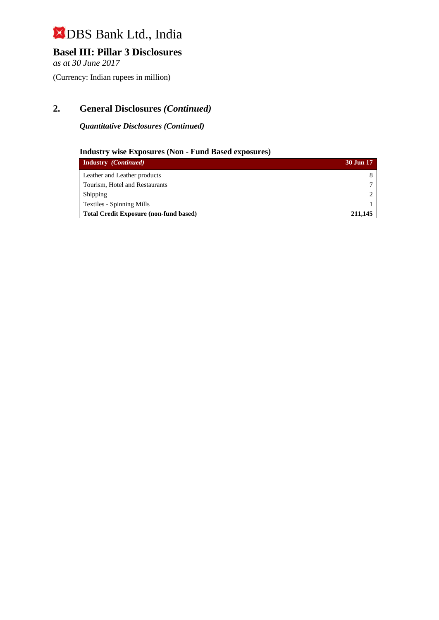## **Basel III: Pillar 3 Disclosures**

*as at 30 June 2017*

(Currency: Indian rupees in million)

## **2. General Disclosures** *(Continued)*

*Quantitative Disclosures (Continued)*

## **Industry wise Exposures (Non - Fund Based exposures)**

| <b>Industry</b> <i>(Continued)</i>            | 30 Jun 17 |
|-----------------------------------------------|-----------|
| Leather and Leather products                  |           |
| Tourism, Hotel and Restaurants                |           |
| Shipping                                      |           |
| <b>Textiles - Spinning Mills</b>              |           |
| <b>Total Credit Exposure (non-fund based)</b> | 211,145   |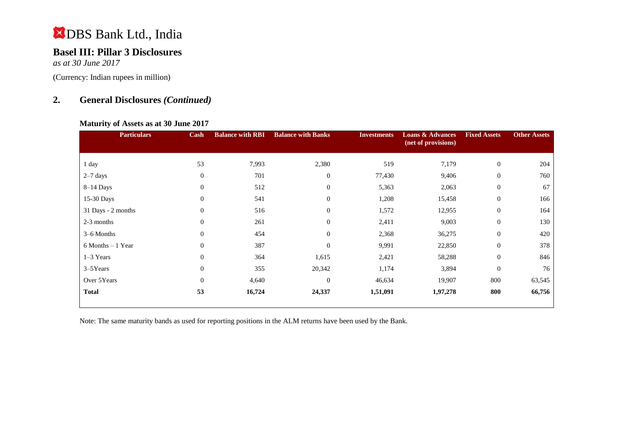## **Basel III: Pillar 3 Disclosures**

*as at 30 June 2017*

(Currency: Indian rupees in million)

## **2. General Disclosures** *(Continued)*

## **Maturity of Assets as at 30 June 2017**

| <b>Particulars</b> | Cash           | <b>Balance with RBI</b> | <b>Balance with Banks</b> | <b>Investments</b> | <b>Loans &amp; Advances</b><br>(net of provisions) | <b>Fixed Assets</b> | <b>Other Assets</b> |
|--------------------|----------------|-------------------------|---------------------------|--------------------|----------------------------------------------------|---------------------|---------------------|
| 1 day              | 53             | 7,993                   | 2,380                     | 519                | 7,179                                              | $\boldsymbol{0}$    | 204                 |
| $2-7$ days         | $\mathbf{0}$   | 701                     | $\mathbf{0}$              | 77,430             | 9,406                                              | $\overline{0}$      | 760                 |
| $8-14$ Days        | $\theta$       | 512                     | $\overline{0}$            | 5,363              | 2,063                                              | $\overline{0}$      | 67                  |
| 15-30 Days         | $\mathbf{0}$   | 541                     | $\overline{0}$            | 1,208              | 15,458                                             | $\boldsymbol{0}$    | 166                 |
| 31 Days - 2 months | $\theta$       | 516                     | $\mathbf{0}$              | 1,572              | 12,955                                             | $\boldsymbol{0}$    | 164                 |
| 2-3 months         | $\theta$       | 261                     | $\overline{0}$            | 2,411              | 9,003                                              | $\overline{0}$      | 130                 |
| 3–6 Months         | $\mathbf{0}$   | 454                     | $\overline{0}$            | 2,368              | 36,275                                             | $\overline{0}$      | 420                 |
| 6 Months - 1 Year  | $\mathbf{0}$   | 387                     | $\mathbf{0}$              | 9,991              | 22,850                                             | $\boldsymbol{0}$    | 378                 |
| $1-3$ Years        | $\overline{0}$ | 364                     | 1,615                     | 2,421              | 58,288                                             | $\boldsymbol{0}$    | 846                 |
| 3-5Years           | $\mathbf{0}$   | 355                     | 20,342                    | 1,174              | 3,894                                              | $\boldsymbol{0}$    | 76                  |
| Over 5Years        | $\overline{0}$ | 4,640                   | $\overline{0}$            | 46,634             | 19,907                                             | 800                 | 63,545              |
| <b>Total</b>       | 53             | 16,724                  | 24,337                    | 1,51,091           | 1,97,278                                           | 800                 | 66,756              |

Note: The same maturity bands as used for reporting positions in the ALM returns have been used by the Bank.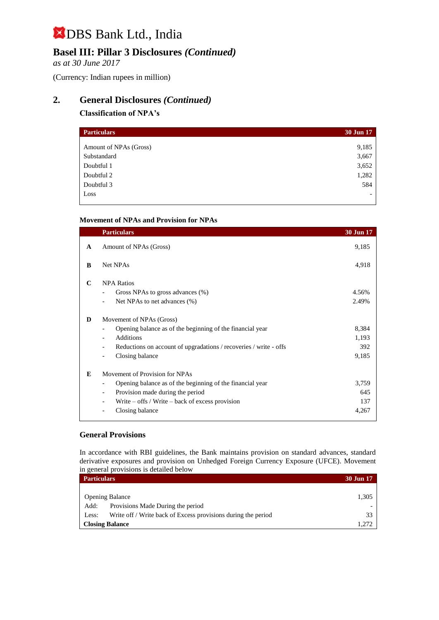## **Basel III: Pillar 3 Disclosures** *(Continued)*

*as at 30 June 2017*

(Currency: Indian rupees in million)

## **2. General Disclosures** *(Continued)*

## **Classification of NPA's**

| <b>30 Jun 17</b> |
|------------------|
|                  |
| 9,185            |
| 3,667            |
| 3,652            |
| 1,282            |
| 584              |
|                  |
|                  |

## **Movement of NPAs and Provision for NPAs**

|   | <b>Particulars</b>                                                | 30 Jun 17 |
|---|-------------------------------------------------------------------|-----------|
| A | Amount of NPAs (Gross)                                            | 9,185     |
| B | Net NPAs                                                          | 4,918     |
| C | <b>NPA Ratios</b>                                                 |           |
|   | Gross NPAs to gross advances (%)                                  | 4.56%     |
|   | Net NPAs to net advances (%)                                      | 2.49%     |
| D | Movement of NPAs (Gross)                                          |           |
|   | Opening balance as of the beginning of the financial year         | 8,384     |
|   | <b>Additions</b>                                                  | 1,193     |
|   | Reductions on account of upgradations / recoveries / write - offs | 392       |
|   | Closing balance<br>$\overline{\phantom{a}}$                       | 9,185     |
| E | Movement of Provision for NPAs                                    |           |
|   | Opening balance as of the beginning of the financial year         | 3,759     |
|   | Provision made during the period                                  | 645       |
|   | Write $-$ offs / Write $-$ back of excess provision               | 137       |
|   | Closing balance                                                   | 4,267     |

## **General Provisions**

In accordance with RBI guidelines, the Bank maintains provision on standard advances, standard derivative exposures and provision on Unhedged Foreign Currency Exposure (UFCE). Movement in general provisions is detailed below

| <b>Particulars</b>     |                                                               |       |
|------------------------|---------------------------------------------------------------|-------|
|                        |                                                               |       |
| <b>Opening Balance</b> |                                                               |       |
| Add:                   | Provisions Made During the period                             |       |
| Less:                  | Write off / Write back of Excess provisions during the period | 33    |
|                        | <b>Closing Balance</b>                                        | 1.272 |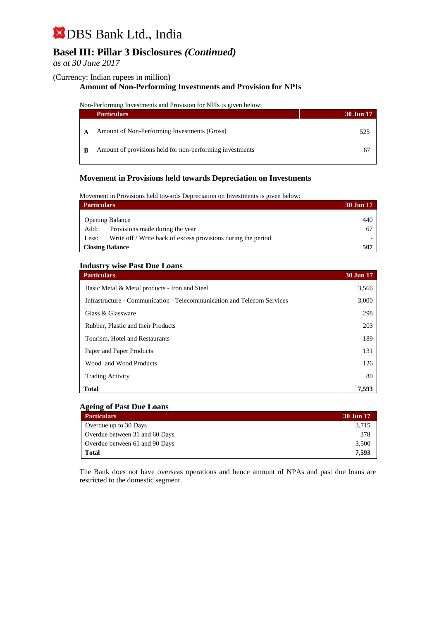## **Basel III: Pillar 3 Disclosures** *(Continued)*

*as at 30 June 2017*

#### (Currency: Indian rupees in million)

#### **Amount of Non-Performing Investments and Provision for NPIs**

Non-Performing Investments and Provision for NPIs is given below:

|   | <b>Particulars</b>                                       | 30 Jun 17 |
|---|----------------------------------------------------------|-----------|
|   | Amount of Non-Performing Investments (Gross)             | 525       |
| B | Amount of provisions held for non-performing investments |           |

### **Movement in Provisions held towards Depreciation on Investments**

Movement in Provisions held towards Depreciation on Investments is given below:

| <b>Particulars</b>                                                     | 30 Jun 17 |
|------------------------------------------------------------------------|-----------|
| <b>Opening Balance</b>                                                 | 440       |
| Provisions made during the year<br>Add:                                | 67        |
| Write off / Write back of excess provisions during the period<br>Less: |           |
| <b>Closing Balance</b>                                                 | 507       |

#### **Industry wise Past Due Loans**

| <b>Particulars</b>                                                      | 30 Jun 17 |
|-------------------------------------------------------------------------|-----------|
| Basic Metal & Metal products - Iron and Steel                           | 3,566     |
| Infrastructure - Communication - Telecommunication and Telecom Services | 3,000     |
| Glass & Glassware                                                       | 298       |
| Rubber, Plastic and their Products                                      | 203       |
| Tourism, Hotel and Restaurants                                          | 189       |
| Paper and Paper Products                                                | 131       |
| Wood and Wood Products                                                  | 126       |
| <b>Trading Activity</b>                                                 | 80        |
| <b>Total</b>                                                            | 7,593     |

#### **Ageing of Past Due Loans**

| <b>Particulars</b>             | 30 Jun 17 |
|--------------------------------|-----------|
| Overdue up to 30 Days          | 3,715     |
| Overdue between 31 and 60 Days | 378       |
| Overdue between 61 and 90 Days | 3,500     |
| Total                          | 7.593     |

The Bank does not have overseas operations and hence amount of NPAs and past due loans are restricted to the domestic segment.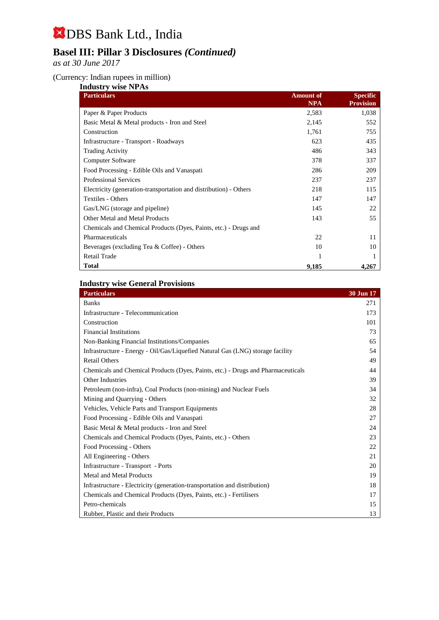## **Basel III: Pillar 3 Disclosures** *(Continued)*

*as at 30 June 2017*

### (Currency: Indian rupees in million)

| <b>Industry wise NPAs</b>                                         |                                |                                     |  |
|-------------------------------------------------------------------|--------------------------------|-------------------------------------|--|
| <b>Particulars</b>                                                | <b>Amount of</b><br><b>NPA</b> | <b>Specific</b><br><b>Provision</b> |  |
| Paper & Paper Products                                            | 2,583                          | 1,038                               |  |
| Basic Metal & Metal products - Iron and Steel                     | 2,145                          | 552                                 |  |
| Construction                                                      | 1,761                          | 755                                 |  |
| Infrastructure - Transport - Roadways                             | 623                            | 435                                 |  |
| <b>Trading Activity</b>                                           | 486                            | 343                                 |  |
| <b>Computer Software</b>                                          | 378                            | 337                                 |  |
| Food Processing - Edible Oils and Vanaspati                       | 286                            | 209                                 |  |
| <b>Professional Services</b>                                      | 237                            | 237                                 |  |
| Electricity (generation-transportation and distribution) - Others | 218                            | 115                                 |  |
| Textiles - Others                                                 | 147                            | 147                                 |  |
| Gas/LNG (storage and pipeline)                                    | 145                            | 22                                  |  |
| Other Metal and Metal Products                                    | 143                            | 55                                  |  |
| Chemicals and Chemical Products (Dyes, Paints, etc.) - Drugs and  |                                |                                     |  |
| Pharmaceuticals                                                   | 22                             | 11                                  |  |
| Beverages (excluding Tea & Coffee) - Others                       | 10                             | 10                                  |  |
| Retail Trade                                                      |                                |                                     |  |
| <b>Total</b>                                                      | 9,185                          | 4,267                               |  |

## **Industry wise General Provisions**

| <b>Particulars</b>                                                               | 30 Jun 17 |
|----------------------------------------------------------------------------------|-----------|
| <b>Banks</b>                                                                     | 271       |
| Infrastructure - Telecommunication                                               | 173       |
| Construction                                                                     | 101       |
| <b>Financial Institutions</b>                                                    | 73        |
| Non-Banking Financial Institutions/Companies                                     | 65        |
| Infrastructure - Energy - Oil/Gas/Liquefied Natural Gas (LNG) storage facility   | 54        |
| <b>Retail Others</b>                                                             | 49        |
| Chemicals and Chemical Products (Dyes, Paints, etc.) - Drugs and Pharmaceuticals | 44        |
| Other Industries                                                                 | 39        |
| Petroleum (non-infra), Coal Products (non-mining) and Nuclear Fuels              | 34        |
| Mining and Quarrying - Others                                                    | 32        |
| Vehicles, Vehicle Parts and Transport Equipments                                 | 28        |
| Food Processing - Edible Oils and Vanaspati                                      | 27        |
| Basic Metal & Metal products - Iron and Steel                                    | 24        |
| Chemicals and Chemical Products (Dyes, Paints, etc.) - Others                    | 23        |
| Food Processing - Others                                                         | 22        |
| All Engineering - Others                                                         | 21        |
| Infrastructure - Transport - Ports                                               | 20        |
| <b>Metal and Metal Products</b>                                                  | 19        |
| Infrastructure - Electricity (generation-transportation and distribution)        | 18        |
| Chemicals and Chemical Products (Dyes, Paints, etc.) - Fertilisers               | 17        |
| Petro-chemicals                                                                  | 15        |
| Rubber, Plastic and their Products                                               | 13        |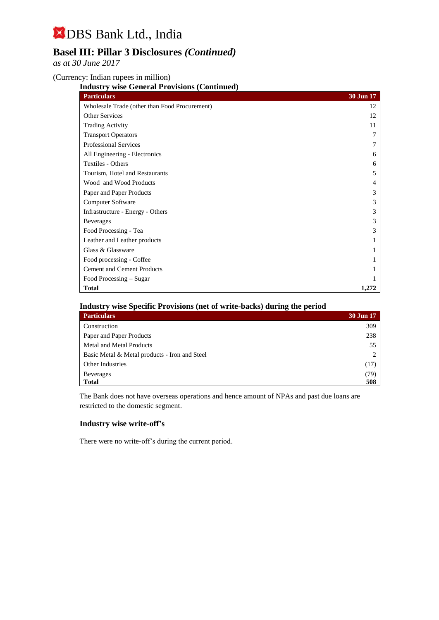## **Basel III: Pillar 3 Disclosures** *(Continued)*

*as at 30 June 2017*

(Currency: Indian rupees in million)

**Industry wise General Provisions (Continued)**

| <b>Particulars</b>                            | 30 Jun 17 |
|-----------------------------------------------|-----------|
| Wholesale Trade (other than Food Procurement) | 12        |
| <b>Other Services</b>                         | 12        |
| <b>Trading Activity</b>                       | 11        |
| <b>Transport Operators</b>                    |           |
| <b>Professional Services</b>                  |           |
| All Engineering - Electronics                 | 6         |
| Textiles - Others                             | 6         |
| Tourism, Hotel and Restaurants                | 5         |
| Wood and Wood Products                        | 4         |
| Paper and Paper Products                      | 3         |
| Computer Software                             | 3         |
| Infrastructure - Energy - Others              | 3         |
| <b>Beverages</b>                              | 3         |
| Food Processing - Tea                         | 3         |
| Leather and Leather products                  |           |
| Glass & Glassware                             |           |
| Food processing - Coffee                      |           |
| <b>Cement and Cement Products</b>             |           |
| Food Processing – Sugar                       |           |
| <b>Total</b>                                  | 1.272     |

### **Industry wise Specific Provisions (net of write-backs) during the period**

| <b>Particulars</b>                            | <b>30 Jun 17</b> |
|-----------------------------------------------|------------------|
| Construction                                  | 309              |
| Paper and Paper Products                      | 238              |
| Metal and Metal Products                      | 55               |
| Basic Metal & Metal products - Iron and Steel | ◠                |
| <b>Other Industries</b>                       | (17)             |
| <b>Beverages</b>                              | (79)             |
| <b>Total</b>                                  | 508              |

The Bank does not have overseas operations and hence amount of NPAs and past due loans are restricted to the domestic segment.

#### **Industry wise write-off's**

There were no write-off's during the current period.